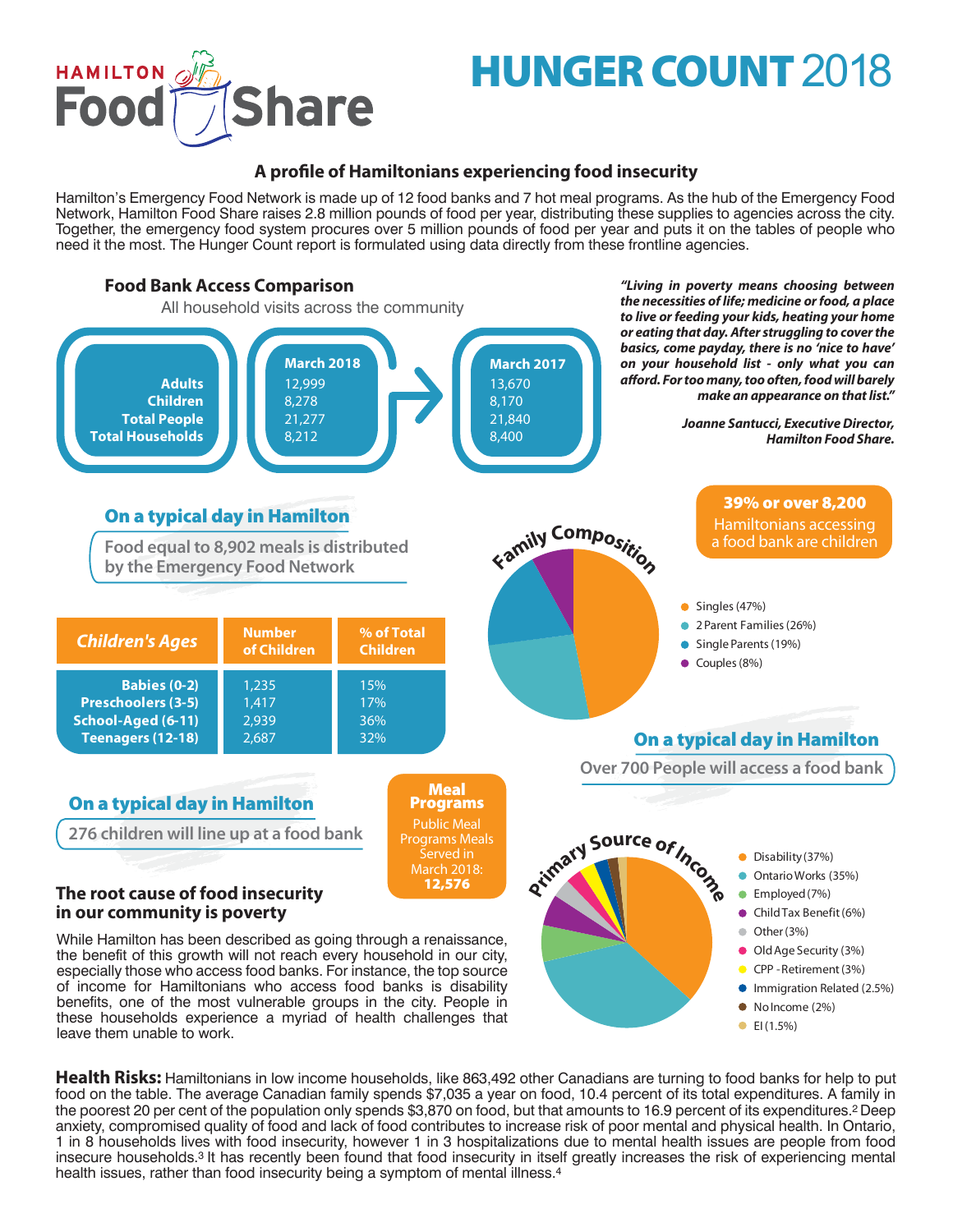

# **HUNGER COUNT** 2018

# **A profile of Hamiltonians experiencing food insecurity**

Hamilton's Emergency Food Network is made up of 12 food banks and 7 hot meal programs. As the hub of the Emergency Food Network, Hamilton Food Share raises 2.8 million pounds of food per year, distributing these supplies to agencies across the city. Together, the emergency food system procures over 5 million pounds of food per year and puts it on the tables of people who need it the most. The Hunger Count report is formulated using data directly from these frontline agencies.



**Health Risks:** Hamiltonians in low income households, like 863,492 other Canadians are turning to food banks for help to put food on the table. The average Canadian family spends \$7,035 a year on food, 10.4 percent of its total expenditures. A family in the poorest 20 per cent of the population only spends \$3,870 on food, but that amounts to 16.9 percent of its expenditures.<sup>2</sup> Deep anxiety, compromised quality of food and lack of food contributes to increase risk of poor mental and physical health. In Ontario, 1 in 8 households lives with food insecurity, however 1 in 3 hospitalizations due to mental health issues are people from food insecure households.3 It has recently been found that food insecurity in itself greatly increases the risk of experiencing mental health issues, rather than food insecurity being a symptom of mental illness.<sup>4</sup>